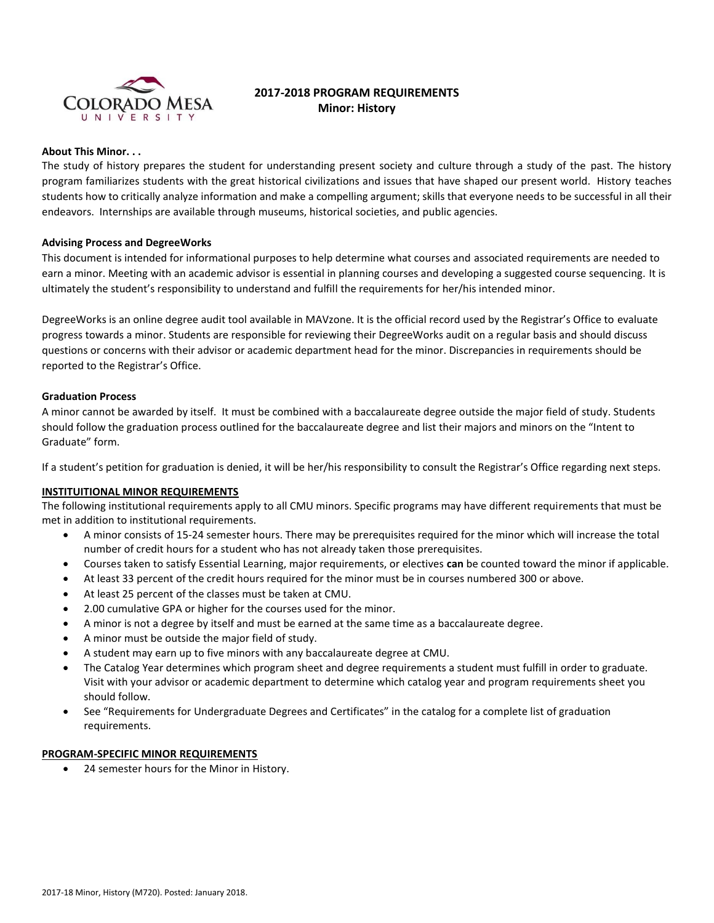

# **2017-2018 PROGRAM REQUIREMENTS Minor: History**

#### **About This Minor. . .**

The study of history prepares the student for understanding present society and culture through a study of the past. The history program familiarizes students with the great historical civilizations and issues that have shaped our present world. History teaches students how to critically analyze information and make a compelling argument; skills that everyone needs to be successful in all their endeavors. Internships are available through museums, historical societies, and public agencies.

## **Advising Process and DegreeWorks**

This document is intended for informational purposes to help determine what courses and associated requirements are needed to earn a minor. Meeting with an academic advisor is essential in planning courses and developing a suggested course sequencing. It is ultimately the student's responsibility to understand and fulfill the requirements for her/his intended minor.

DegreeWorks is an online degree audit tool available in MAVzone. It is the official record used by the Registrar's Office to evaluate progress towards a minor. Students are responsible for reviewing their DegreeWorks audit on a regular basis and should discuss questions or concerns with their advisor or academic department head for the minor. Discrepancies in requirements should be reported to the Registrar's Office.

## **Graduation Process**

A minor cannot be awarded by itself. It must be combined with a baccalaureate degree outside the major field of study. Students should follow the graduation process outlined for the baccalaureate degree and list their majors and minors on the "Intent to Graduate" form.

If a student's petition for graduation is denied, it will be her/his responsibility to consult the Registrar's Office regarding next steps.

## **INSTITUITIONAL MINOR REQUIREMENTS**

The following institutional requirements apply to all CMU minors. Specific programs may have different requirements that must be met in addition to institutional requirements.

- A minor consists of 15-24 semester hours. There may be prerequisites required for the minor which will increase the total number of credit hours for a student who has not already taken those prerequisites.
- Courses taken to satisfy Essential Learning, major requirements, or electives **can** be counted toward the minor if applicable.
- At least 33 percent of the credit hours required for the minor must be in courses numbered 300 or above.
- At least 25 percent of the classes must be taken at CMU.
- 2.00 cumulative GPA or higher for the courses used for the minor.
- A minor is not a degree by itself and must be earned at the same time as a baccalaureate degree.
- A minor must be outside the major field of study.
- A student may earn up to five minors with any baccalaureate degree at CMU.
- The Catalog Year determines which program sheet and degree requirements a student must fulfill in order to graduate. Visit with your advisor or academic department to determine which catalog year and program requirements sheet you should follow.
- See "Requirements for Undergraduate Degrees and Certificates" in the catalog for a complete list of graduation requirements.

#### **PROGRAM-SPECIFIC MINOR REQUIREMENTS**

24 semester hours for the Minor in History.